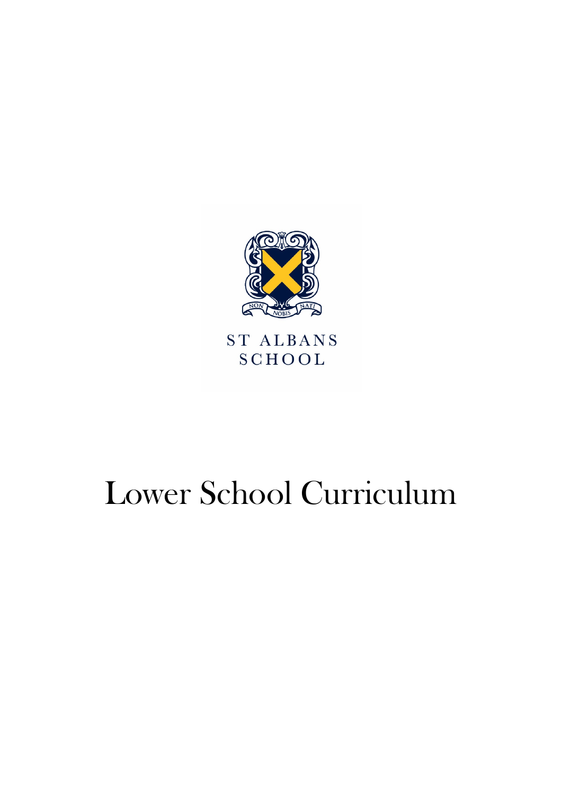

ST ALBANS **SCHOOL** 

# Lower School Curriculum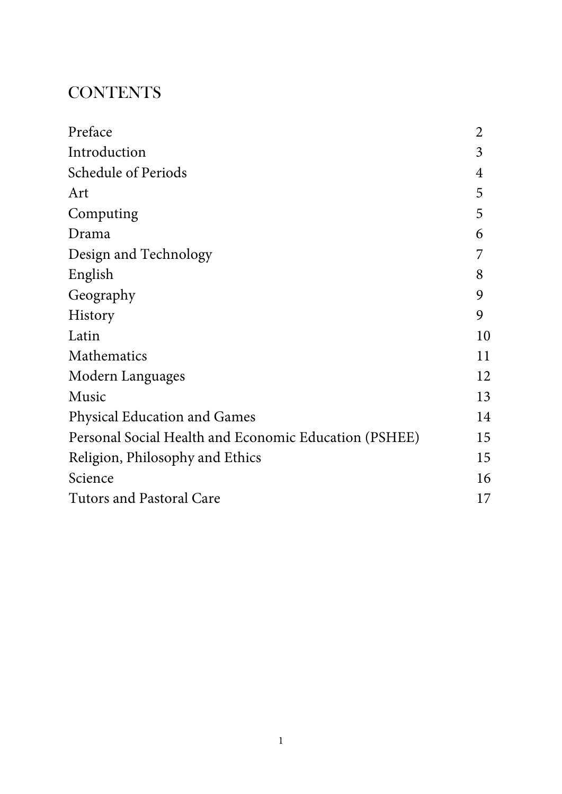#### **CONTENTS**

| Preface                                               | $\overline{2}$ |
|-------------------------------------------------------|----------------|
| Introduction                                          | 3              |
| <b>Schedule of Periods</b>                            | 4              |
| Art                                                   | 5              |
| Computing                                             | 5              |
| Drama                                                 | 6              |
| Design and Technology                                 | 7              |
| English                                               | 8              |
| Geography                                             | 9              |
| History                                               | 9              |
| Latin                                                 | 10             |
| Mathematics                                           | 11             |
| Modern Languages                                      | 12             |
| Music                                                 | 13             |
| <b>Physical Education and Games</b>                   | 14             |
| Personal Social Health and Economic Education (PSHEE) | 15             |
| Religion, Philosophy and Ethics                       | 15             |
| Science                                               | 16             |
| <b>Tutors and Pastoral Care</b>                       | 17             |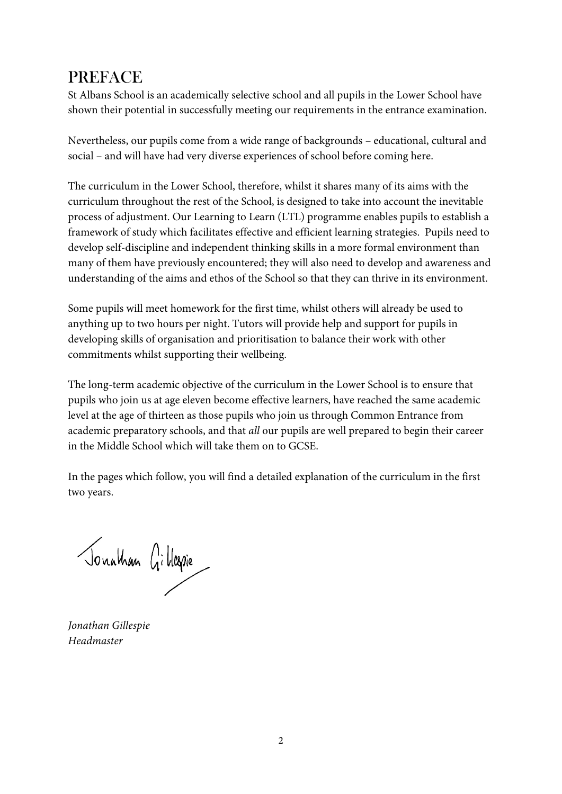#### **PREFACE**

St Albans School is an academically selective school and all pupils in the Lower School have shown their potential in successfully meeting our requirements in the entrance examination.

Nevertheless, our pupils come from a wide range of backgrounds – educational, cultural and social – and will have had very diverse experiences of school before coming here.

The curriculum in the Lower School, therefore, whilst it shares many of its aims with the curriculum throughout the rest of the School, is designed to take into account the inevitable process of adjustment. Our Learning to Learn (LTL) programme enables pupils to establish a framework of study which facilitates effective and efficient learning strategies. Pupils need to develop self-discipline and independent thinking skills in a more formal environment than many of them have previously encountered; they will also need to develop and awareness and understanding of the aims and ethos of the School so that they can thrive in its environment.

Some pupils will meet homework for the first time, whilst others will already be used to anything up to two hours per night. Tutors will provide help and support for pupils in developing skills of organisation and prioritisation to balance their work with other commitments whilst supporting their wellbeing.

The long-term academic objective of the curriculum in the Lower School is to ensure that pupils who join us at age eleven become effective learners, have reached the same academic level at the age of thirteen as those pupils who join us through Common Entrance from academic preparatory schools, and that *all* our pupils are well prepared to begin their career in the Middle School which will take them on to GCSE.

In the pages which follow, you will find a detailed explanation of the curriculum in the first two years.

Jonathan Gillegie

*Jonathan Gillespie Headmaster*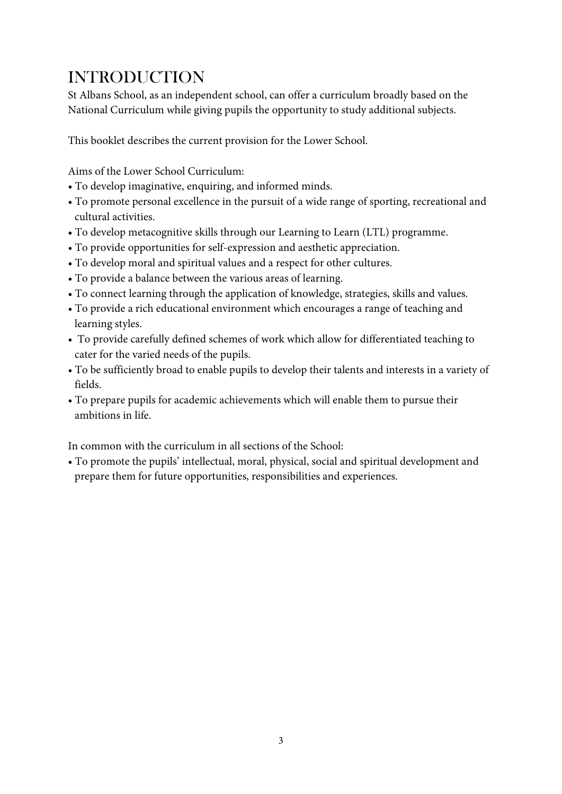#### INTRODUCTION

St Albans School, as an independent school, can offer a curriculum broadly based on the National Curriculum while giving pupils the opportunity to study additional subjects.

This booklet describes the current provision for the Lower School.

Aims of the Lower School Curriculum:

- To develop imaginative, enquiring, and informed minds.
- To promote personal excellence in the pursuit of a wide range of sporting, recreational and cultural activities.
- To develop metacognitive skills through our Learning to Learn (LTL) programme.
- To provide opportunities for self-expression and aesthetic appreciation.
- To develop moral and spiritual values and a respect for other cultures.
- To provide a balance between the various areas of learning.
- To connect learning through the application of knowledge, strategies, skills and values.
- To provide a rich educational environment which encourages a range of teaching and learning styles.
- To provide carefully defined schemes of work which allow for differentiated teaching to cater for the varied needs of the pupils.
- To be sufficiently broad to enable pupils to develop their talents and interests in a variety of fields.
- To prepare pupils for academic achievements which will enable them to pursue their ambitions in life.

In common with the curriculum in all sections of the School:

• To promote the pupils' intellectual, moral, physical, social and spiritual development and prepare them for future opportunities, responsibilities and experiences.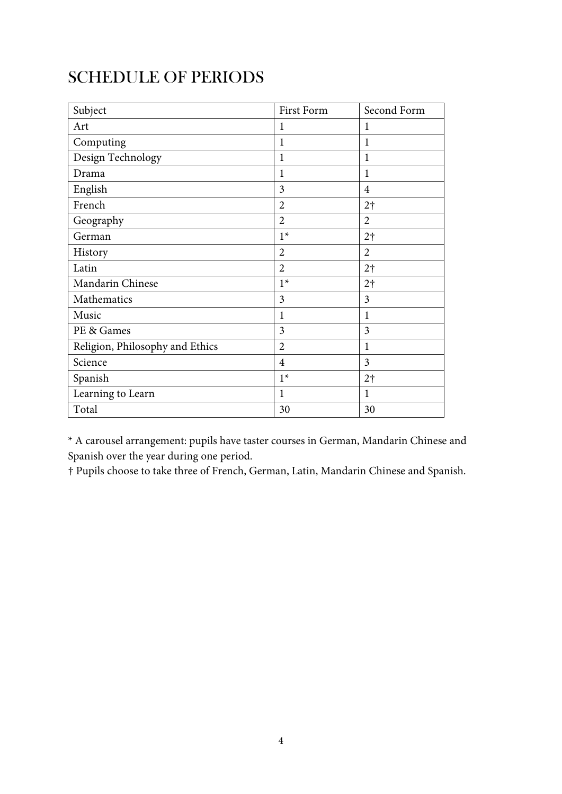#### SCHEDULE OF PERIODS

| Subject                         | <b>First Form</b> | Second Form    |
|---------------------------------|-------------------|----------------|
| Art                             | 1                 | 1              |
| Computing                       | 1                 | 1              |
| Design Technology               | 1                 | 1              |
| Drama                           | $\mathbf{1}$      | 1              |
| English                         | 3                 | $\overline{4}$ |
| French                          | $\overline{2}$    | 2 <sup>†</sup> |
| Geography                       | $\overline{2}$    | $\overline{2}$ |
| German                          | $1*$              | 2 <sup>†</sup> |
| History                         | $\overline{2}$    | $\overline{2}$ |
| Latin                           | $\overline{2}$    | 2 <sup>†</sup> |
| Mandarin Chinese                | $1*$              | 2 <sup>†</sup> |
| Mathematics                     | 3                 | $\overline{3}$ |
| Music                           | $\mathbf{1}$      | 1              |
| PE & Games                      | 3                 | 3              |
| Religion, Philosophy and Ethics | $\overline{2}$    | $\mathbf{1}$   |
| Science                         | $\overline{4}$    | $\overline{3}$ |
| Spanish                         | $1*$              | 2 <sup>†</sup> |
| Learning to Learn               | $\mathbf 1$       | 1              |
| Total                           | 30                | 30             |

\* A carousel arrangement: pupils have taster courses in German, Mandarin Chinese and Spanish over the year during one period.

† Pupils choose to take three of French, German, Latin, Mandarin Chinese and Spanish.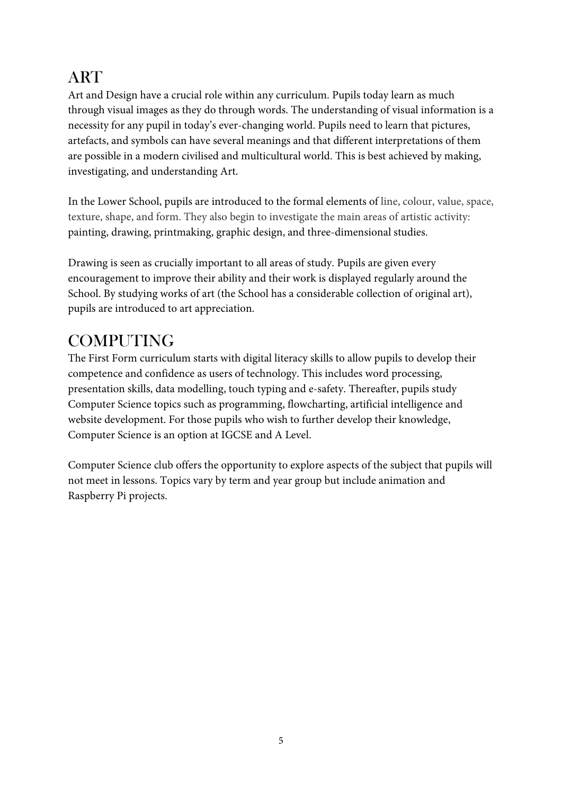#### **ART**

Art and Design have a crucial role within any curriculum. Pupils today learn as much through visual images as they do through words. The understanding of visual information is a necessity for any pupil in today's ever-changing world. Pupils need to learn that pictures, artefacts, and symbols can have several meanings and that different interpretations of them are possible in a modern civilised and multicultural world. This is best achieved by making, investigating, and understanding Art.

In the Lower School, pupils are introduced to the formal elements of line, colour, value, space, texture, shape, and form. They also begin to investigate the main areas of artistic activity: painting, drawing, printmaking, graphic design, and three-dimensional studies.

Drawing is seen as crucially important to all areas of study. Pupils are given every encouragement to improve their ability and their work is displayed regularly around the School. By studying works of art (the School has a considerable collection of original art), pupils are introduced to art appreciation.

## COMPUTING

The First Form curriculum starts with digital literacy skills to allow pupils to develop their competence and confidence as users of technology. This includes word processing, presentation skills, data modelling, touch typing and e-safety. Thereafter, pupils study Computer Science topics such as programming, flowcharting, artificial intelligence and website development. For those pupils who wish to further develop their knowledge, Computer Science is an option at IGCSE and A Level.

Computer Science club offers the opportunity to explore aspects of the subject that pupils will not meet in lessons. Topics vary by term and year group but include animation and Raspberry Pi projects.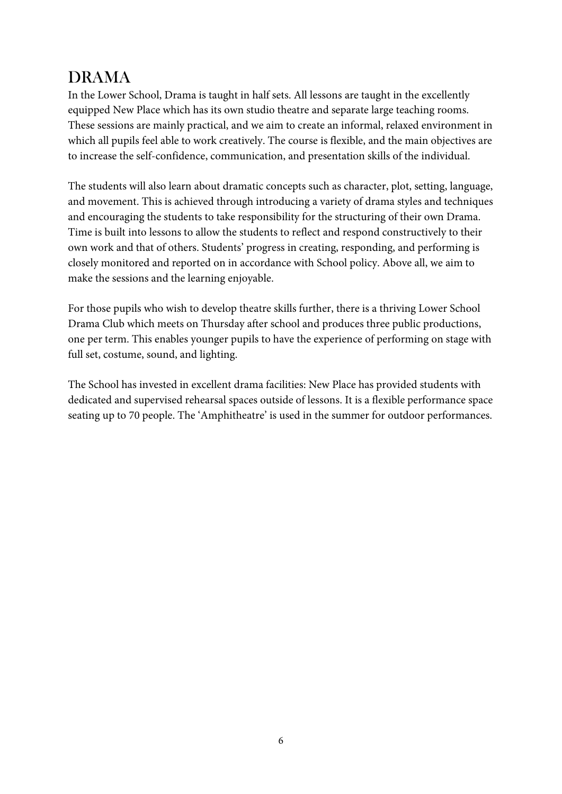### DRAMA

In the Lower School, Drama is taught in half sets. All lessons are taught in the excellently equipped New Place which has its own studio theatre and separate large teaching rooms. These sessions are mainly practical, and we aim to create an informal, relaxed environment in which all pupils feel able to work creatively. The course is flexible, and the main objectives are to increase the self-confidence, communication, and presentation skills of the individual.

The students will also learn about dramatic concepts such as character, plot, setting, language, and movement. This is achieved through introducing a variety of drama styles and techniques and encouraging the students to take responsibility for the structuring of their own Drama. Time is built into lessons to allow the students to reflect and respond constructively to their own work and that of others. Students' progress in creating, responding, and performing is closely monitored and reported on in accordance with School policy. Above all, we aim to make the sessions and the learning enjoyable.

For those pupils who wish to develop theatre skills further, there is a thriving Lower School Drama Club which meets on Thursday after school and produces three public productions, one per term. This enables younger pupils to have the experience of performing on stage with full set, costume, sound, and lighting.

The School has invested in excellent drama facilities: New Place has provided students with dedicated and supervised rehearsal spaces outside of lessons. It is a flexible performance space seating up to 70 people. The 'Amphitheatre' is used in the summer for outdoor performances.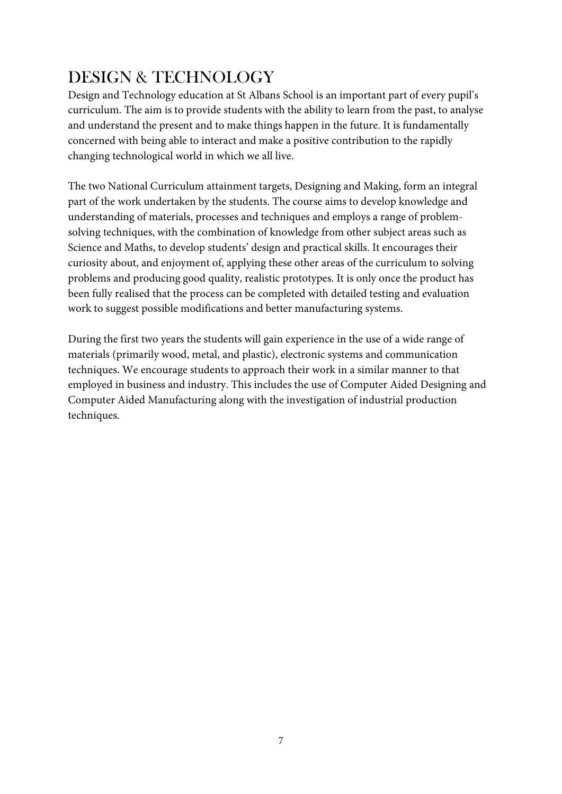## DESIGN & TECHNOLOGY

Design and Technology education at St Albans School is an important part of every pupil's curriculum. The aim is to provide students with the ability to learn from the past, to analyse and understand the present and to make things happen in the future. It is fundamentally concerned with being able to interact and make a positive contribution to the rapidly changing technological world in which we all live.

The two National Curriculum attainment targets, Designing and Making, form an integral part of the work undertaken by the students. The course aims to develop knowledge and understanding of materials, processes and techniques and employs a range of problemsolving techniques, with the combination of knowledge from other subject areas such as Science and Maths, to develop students' design and practical skills. It encourages their curiosity about, and enjoyment of, applying these other areas of the curriculum to solving problems and producing good quality, realistic prototypes. It is only once the product has been fully realised that the process can be completed with detailed testing and evaluation work to suggest possible modifications and better manufacturing systems.

During the first two years the students will gain experience in the use of a wide range of materials (primarily wood, metal, and plastic), electronic systems and communication techniques. We encourage students to approach their work in a similar manner to that employed in business and industry. This includes the use of Computer Aided Designing and Computer Aided Manufacturing along with the investigation of industrial production techniques.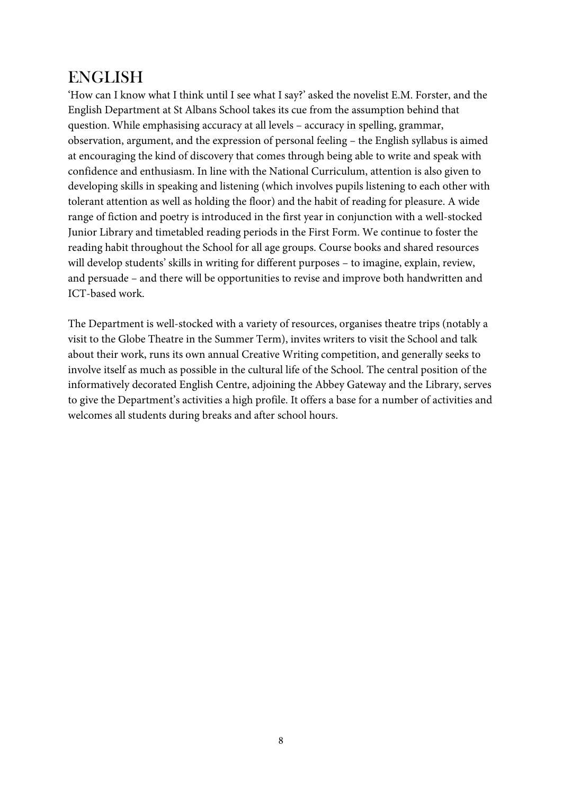#### ENGLISH

'How can I know what I think until I see what I say?' asked the novelist E.M. Forster, and the English Department at St Albans School takes its cue from the assumption behind that question. While emphasising accuracy at all levels – accuracy in spelling, grammar, observation, argument, and the expression of personal feeling – the English syllabus is aimed at encouraging the kind of discovery that comes through being able to write and speak with confidence and enthusiasm. In line with the National Curriculum, attention is also given to developing skills in speaking and listening (which involves pupils listening to each other with tolerant attention as well as holding the floor) and the habit of reading for pleasure. A wide range of fiction and poetry is introduced in the first year in conjunction with a well-stocked Junior Library and timetabled reading periods in the First Form. We continue to foster the reading habit throughout the School for all age groups. Course books and shared resources will develop students' skills in writing for different purposes – to imagine, explain, review, and persuade – and there will be opportunities to revise and improve both handwritten and ICT-based work.

The Department is well-stocked with a variety of resources, organises theatre trips (notably a visit to the Globe Theatre in the Summer Term), invites writers to visit the School and talk about their work, runs its own annual Creative Writing competition, and generally seeks to involve itself as much as possible in the cultural life of the School. The central position of the informatively decorated English Centre, adjoining the Abbey Gateway and the Library, serves to give the Department's activities a high profile. It offers a base for a number of activities and welcomes all students during breaks and after school hours.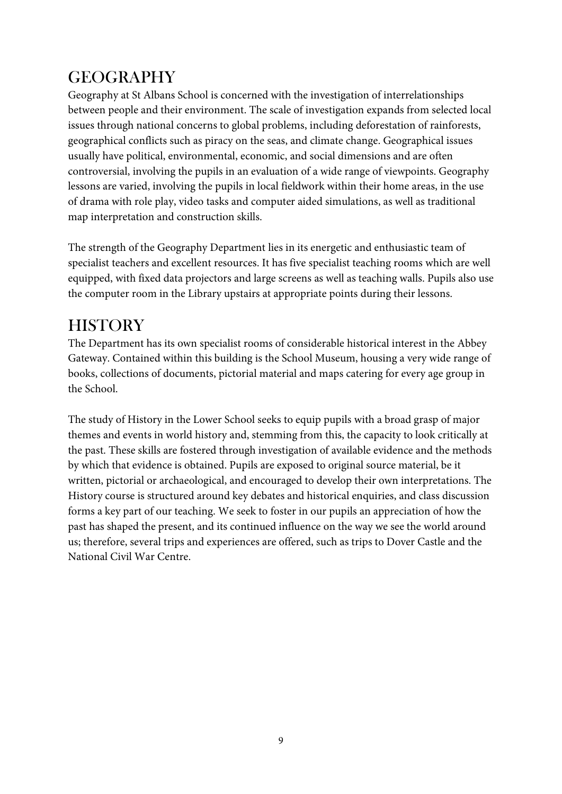## GEOGRAPHY

Geography at St Albans School is concerned with the investigation of interrelationships between people and their environment. The scale of investigation expands from selected local issues through national concerns to global problems, including deforestation of rainforests, geographical conflicts such as piracy on the seas, and climate change. Geographical issues usually have political, environmental, economic, and social dimensions and are often controversial, involving the pupils in an evaluation of a wide range of viewpoints. Geography lessons are varied, involving the pupils in local fieldwork within their home areas, in the use of drama with role play, video tasks and computer aided simulations, as well as traditional map interpretation and construction skills.

The strength of the Geography Department lies in its energetic and enthusiastic team of specialist teachers and excellent resources. It has five specialist teaching rooms which are well equipped, with fixed data projectors and large screens as well as teaching walls. Pupils also use the computer room in the Library upstairs at appropriate points during their lessons.

### **HISTORY**

The Department has its own specialist rooms of considerable historical interest in the Abbey Gateway. Contained within this building is the School Museum, housing a very wide range of books, collections of documents, pictorial material and maps catering for every age group in the School.

The study of History in the Lower School seeks to equip pupils with a broad grasp of major themes and events in world history and, stemming from this, the capacity to look critically at the past. These skills are fostered through investigation of available evidence and the methods by which that evidence is obtained. Pupils are exposed to original source material, be it written, pictorial or archaeological, and encouraged to develop their own interpretations. The History course is structured around key debates and historical enquiries, and class discussion forms a key part of our teaching. We seek to foster in our pupils an appreciation of how the past has shaped the present, and its continued influence on the way we see the world around us; therefore, several trips and experiences are offered, such as trips to Dover Castle and the National Civil War Centre.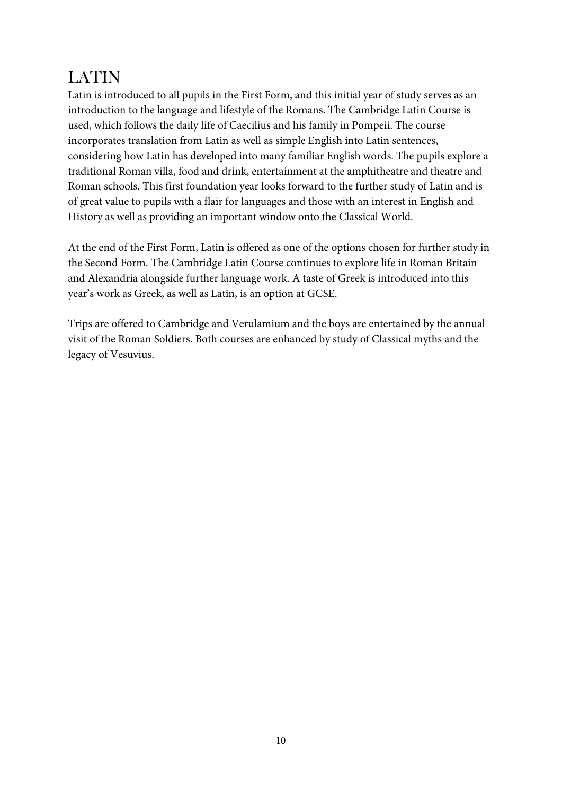## LATIN

Latin is introduced to all pupils in the First Form, and this initial year of study serves as an introduction to the language and lifestyle of the Romans. The Cambridge Latin Course is used, which follows the daily life of Caecilius and his family in Pompeii. The course incorporates translation from Latin as well as simple English into Latin sentences, considering how Latin has developed into many familiar English words. The pupils explore a traditional Roman villa, food and drink, entertainment at the amphitheatre and theatre and Roman schools. This first foundation year looks forward to the further study of Latin and is of great value to pupils with a flair for languages and those with an interest in English and History as well as providing an important window onto the Classical World.

At the end of the First Form, Latin is offered as one of the options chosen for further study in the Second Form. The Cambridge Latin Course continues to explore life in Roman Britain and Alexandria alongside further language work. A taste of Greek is introduced into this year's work as Greek, as well as Latin, is an option at GCSE.

Trips are offered to Cambridge and Verulamium and the boys are entertained by the annual visit of the Roman Soldiers. Both courses are enhanced by study of Classical myths and the legacy of Vesuvius.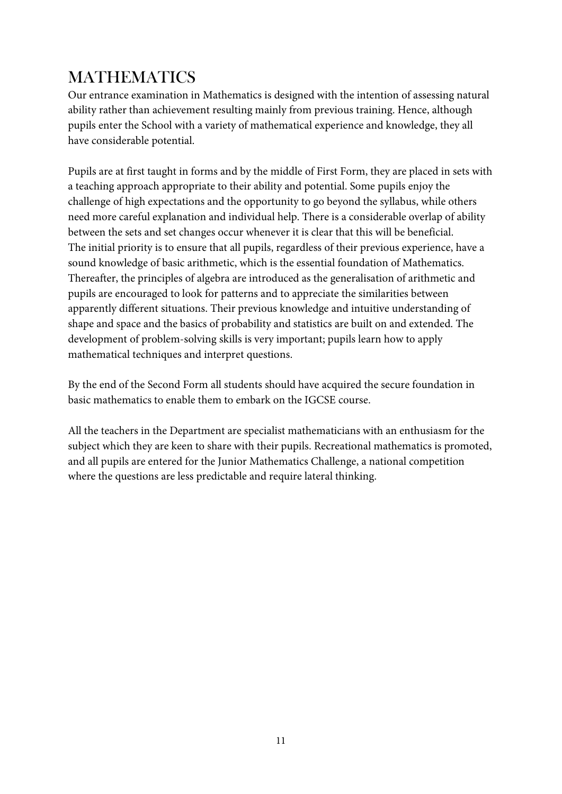## MATHEMATICS

Our entrance examination in Mathematics is designed with the intention of assessing natural ability rather than achievement resulting mainly from previous training. Hence, although pupils enter the School with a variety of mathematical experience and knowledge, they all have considerable potential.

Pupils are at first taught in forms and by the middle of First Form, they are placed in sets with a teaching approach appropriate to their ability and potential. Some pupils enjoy the challenge of high expectations and the opportunity to go beyond the syllabus, while others need more careful explanation and individual help. There is a considerable overlap of ability between the sets and set changes occur whenever it is clear that this will be beneficial. The initial priority is to ensure that all pupils, regardless of their previous experience, have a sound knowledge of basic arithmetic, which is the essential foundation of Mathematics. Thereafter, the principles of algebra are introduced as the generalisation of arithmetic and pupils are encouraged to look for patterns and to appreciate the similarities between apparently different situations. Their previous knowledge and intuitive understanding of shape and space and the basics of probability and statistics are built on and extended. The development of problem-solving skills is very important; pupils learn how to apply mathematical techniques and interpret questions.

By the end of the Second Form all students should have acquired the secure foundation in basic mathematics to enable them to embark on the IGCSE course.

All the teachers in the Department are specialist mathematicians with an enthusiasm for the subject which they are keen to share with their pupils. Recreational mathematics is promoted, and all pupils are entered for the Junior Mathematics Challenge, a national competition where the questions are less predictable and require lateral thinking.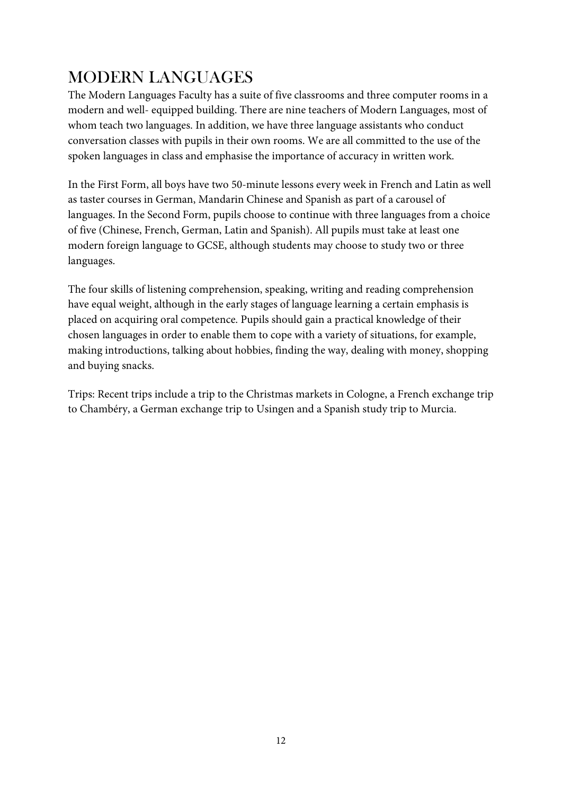## MODERN LANGUAGES

The Modern Languages Faculty has a suite of five classrooms and three computer rooms in a modern and well- equipped building. There are nine teachers of Modern Languages, most of whom teach two languages. In addition, we have three language assistants who conduct conversation classes with pupils in their own rooms. We are all committed to the use of the spoken languages in class and emphasise the importance of accuracy in written work.

In the First Form, all boys have two 50-minute lessons every week in French and Latin as well as taster courses in German, Mandarin Chinese and Spanish as part of a carousel of languages. In the Second Form, pupils choose to continue with three languages from a choice of five (Chinese, French, German, Latin and Spanish). All pupils must take at least one modern foreign language to GCSE, although students may choose to study two or three languages.

The four skills of listening comprehension, speaking, writing and reading comprehension have equal weight, although in the early stages of language learning a certain emphasis is placed on acquiring oral competence. Pupils should gain a practical knowledge of their chosen languages in order to enable them to cope with a variety of situations, for example, making introductions, talking about hobbies, finding the way, dealing with money, shopping and buying snacks.

Trips: Recent trips include a trip to the Christmas markets in Cologne, a French exchange trip to Chambéry, a German exchange trip to Usingen and a Spanish study trip to Murcia.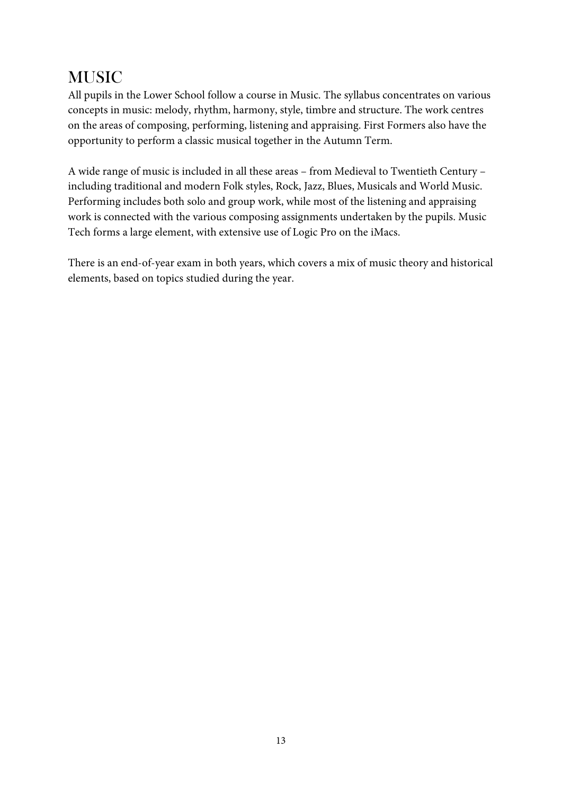### **MUSIC**

All pupils in the Lower School follow a course in Music. The syllabus concentrates on various concepts in music: melody, rhythm, harmony, style, timbre and structure. The work centres on the areas of composing, performing, listening and appraising. First Formers also have the opportunity to perform a classic musical together in the Autumn Term.

A wide range of music is included in all these areas – from Medieval to Twentieth Century – including traditional and modern Folk styles, Rock, Jazz, Blues, Musicals and World Music. Performing includes both solo and group work, while most of the listening and appraising work is connected with the various composing assignments undertaken by the pupils. Music Tech forms a large element, with extensive use of Logic Pro on the iMacs.

There is an end-of-year exam in both years, which covers a mix of music theory and historical elements, based on topics studied during the year.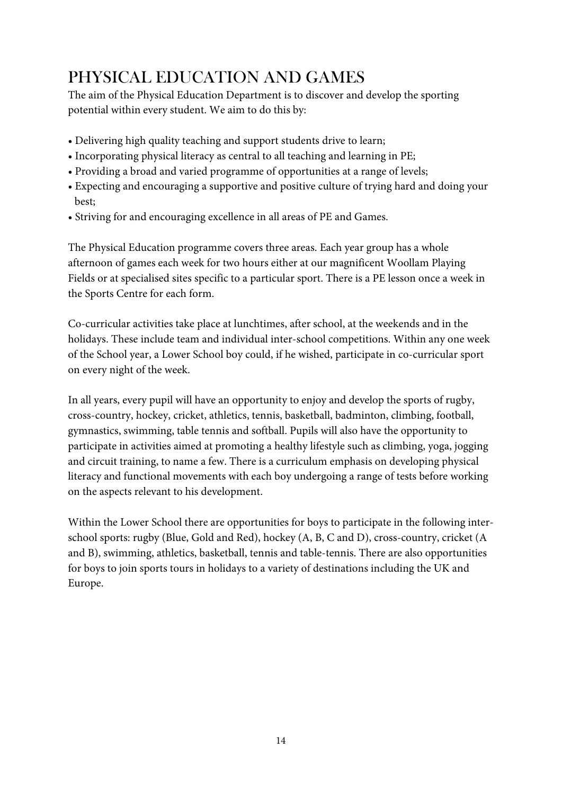## PHYSICAL EDUCATION AND GAMES

The aim of the Physical Education Department is to discover and develop the sporting potential within every student. We aim to do this by:

- Delivering high quality teaching and support students drive to learn;
- Incorporating physical literacy as central to all teaching and learning in PE;
- Providing a broad and varied programme of opportunities at a range of levels;
- Expecting and encouraging a supportive and positive culture of trying hard and doing your best;
- Striving for and encouraging excellence in all areas of PE and Games.

The Physical Education programme covers three areas. Each year group has a whole afternoon of games each week for two hours either at our magnificent Woollam Playing Fields or at specialised sites specific to a particular sport. There is a PE lesson once a week in the Sports Centre for each form.

Co-curricular activities take place at lunchtimes, after school, at the weekends and in the holidays. These include team and individual inter-school competitions. Within any one week of the School year, a Lower School boy could, if he wished, participate in co-curricular sport on every night of the week.

In all years, every pupil will have an opportunity to enjoy and develop the sports of rugby, cross-country, hockey, cricket, athletics, tennis, basketball, badminton, climbing, football, gymnastics, swimming, table tennis and softball. Pupils will also have the opportunity to participate in activities aimed at promoting a healthy lifestyle such as climbing, yoga, jogging and circuit training, to name a few. There is a curriculum emphasis on developing physical literacy and functional movements with each boy undergoing a range of tests before working on the aspects relevant to his development.

Within the Lower School there are opportunities for boys to participate in the following interschool sports: rugby (Blue, Gold and Red), hockey (A, B, C and D), cross-country, cricket (A and B), swimming, athletics, basketball, tennis and table-tennis. There are also opportunities for boys to join sports tours in holidays to a variety of destinations including the UK and Europe.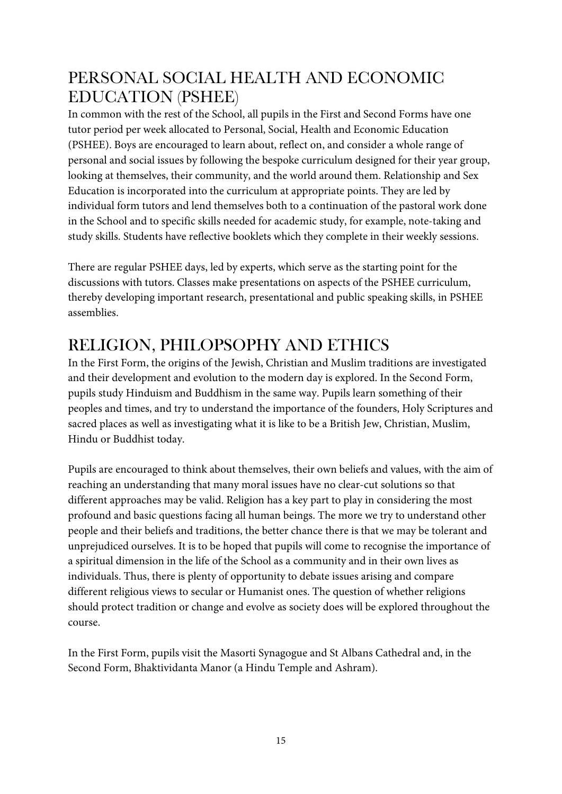#### PERSONAL SOCIAL HEALTH AND ECONOMIC EDUCATION (PSHEE)

In common with the rest of the School, all pupils in the First and Second Forms have one tutor period per week allocated to Personal, Social, Health and Economic Education (PSHEE). Boys are encouraged to learn about, reflect on, and consider a whole range of personal and social issues by following the bespoke curriculum designed for their year group, looking at themselves, their community, and the world around them. Relationship and Sex Education is incorporated into the curriculum at appropriate points. They are led by individual form tutors and lend themselves both to a continuation of the pastoral work done in the School and to specific skills needed for academic study, for example, note-taking and study skills. Students have reflective booklets which they complete in their weekly sessions.

There are regular PSHEE days, led by experts, which serve as the starting point for the discussions with tutors. Classes make presentations on aspects of the PSHEE curriculum, thereby developing important research, presentational and public speaking skills, in PSHEE assemblies.

## RELIGION, PHILOPSOPHY AND ETHICS

In the First Form, the origins of the Jewish, Christian and Muslim traditions are investigated and their development and evolution to the modern day is explored. In the Second Form, pupils study Hinduism and Buddhism in the same way. Pupils learn something of their peoples and times, and try to understand the importance of the founders, Holy Scriptures and sacred places as well as investigating what it is like to be a British Jew, Christian, Muslim, Hindu or Buddhist today.

Pupils are encouraged to think about themselves, their own beliefs and values, with the aim of reaching an understanding that many moral issues have no clear-cut solutions so that different approaches may be valid. Religion has a key part to play in considering the most profound and basic questions facing all human beings. The more we try to understand other people and their beliefs and traditions, the better chance there is that we may be tolerant and unprejudiced ourselves. It is to be hoped that pupils will come to recognise the importance of a spiritual dimension in the life of the School as a community and in their own lives as individuals. Thus, there is plenty of opportunity to debate issues arising and compare different religious views to secular or Humanist ones. The question of whether religions should protect tradition or change and evolve as society does will be explored throughout the course.

In the First Form, pupils visit the Masorti Synagogue and St Albans Cathedral and, in the Second Form, Bhaktividanta Manor (a Hindu Temple and Ashram).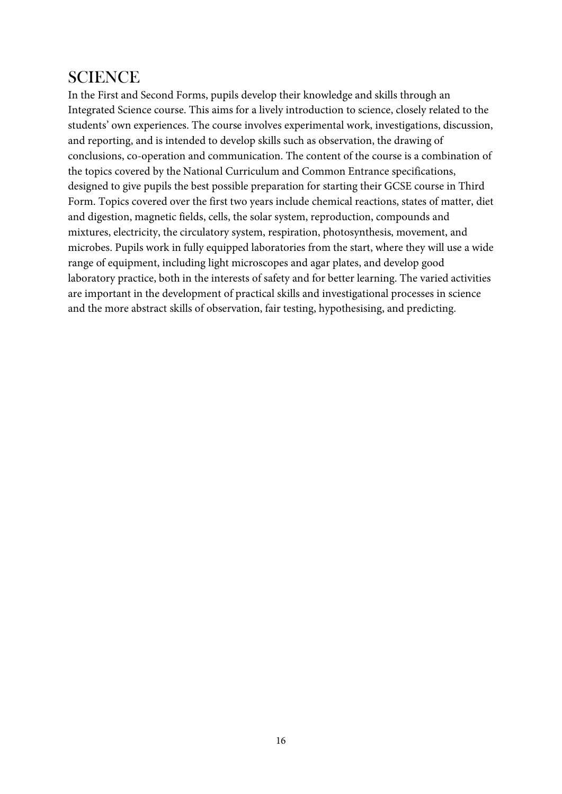#### **SCIENCE**

In the First and Second Forms, pupils develop their knowledge and skills through an Integrated Science course. This aims for a lively introduction to science, closely related to the students' own experiences. The course involves experimental work, investigations, discussion, and reporting, and is intended to develop skills such as observation, the drawing of conclusions, co-operation and communication. The content of the course is a combination of the topics covered by the National Curriculum and Common Entrance specifications, designed to give pupils the best possible preparation for starting their GCSE course in Third Form. Topics covered over the first two years include chemical reactions, states of matter, diet and digestion, magnetic fields, cells, the solar system, reproduction, compounds and mixtures, electricity, the circulatory system, respiration, photosynthesis, movement, and microbes. Pupils work in fully equipped laboratories from the start, where they will use a wide range of equipment, including light microscopes and agar plates, and develop good laboratory practice, both in the interests of safety and for better learning. The varied activities are important in the development of practical skills and investigational processes in science and the more abstract skills of observation, fair testing, hypothesising, and predicting.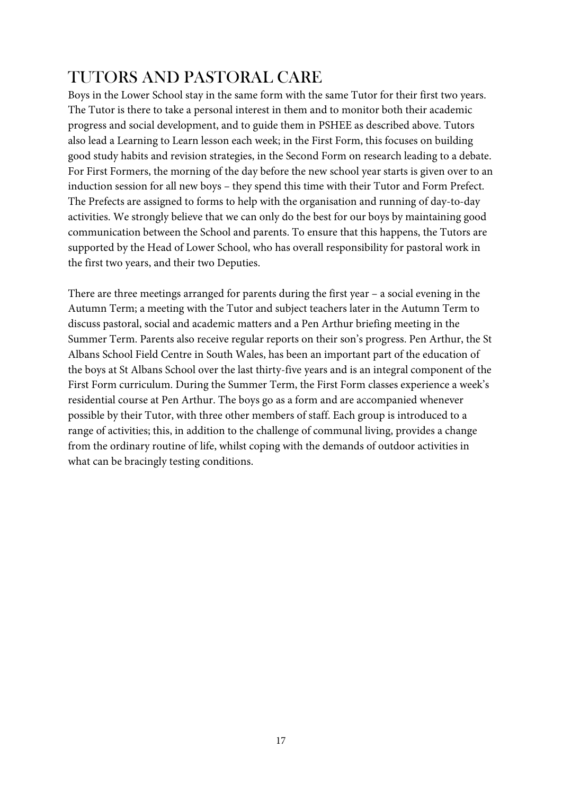### TUTORS AND PASTORAL CARE

Boys in the Lower School stay in the same form with the same Tutor for their first two years. The Tutor is there to take a personal interest in them and to monitor both their academic progress and social development, and to guide them in PSHEE as described above. Tutors also lead a Learning to Learn lesson each week; in the First Form, this focuses on building good study habits and revision strategies, in the Second Form on research leading to a debate. For First Formers, the morning of the day before the new school year starts is given over to an induction session for all new boys – they spend this time with their Tutor and Form Prefect. The Prefects are assigned to forms to help with the organisation and running of day-to-day activities. We strongly believe that we can only do the best for our boys by maintaining good communication between the School and parents. To ensure that this happens, the Tutors are supported by the Head of Lower School, who has overall responsibility for pastoral work in the first two years, and their two Deputies.

There are three meetings arranged for parents during the first year – a social evening in the Autumn Term; a meeting with the Tutor and subject teachers later in the Autumn Term to discuss pastoral, social and academic matters and a Pen Arthur briefing meeting in the Summer Term. Parents also receive regular reports on their son's progress. Pen Arthur, the St Albans School Field Centre in South Wales, has been an important part of the education of the boys at St Albans School over the last thirty-five years and is an integral component of the First Form curriculum. During the Summer Term, the First Form classes experience a week's residential course at Pen Arthur. The boys go as a form and are accompanied whenever possible by their Tutor, with three other members of staff. Each group is introduced to a range of activities; this, in addition to the challenge of communal living, provides a change from the ordinary routine of life, whilst coping with the demands of outdoor activities in what can be bracingly testing conditions.